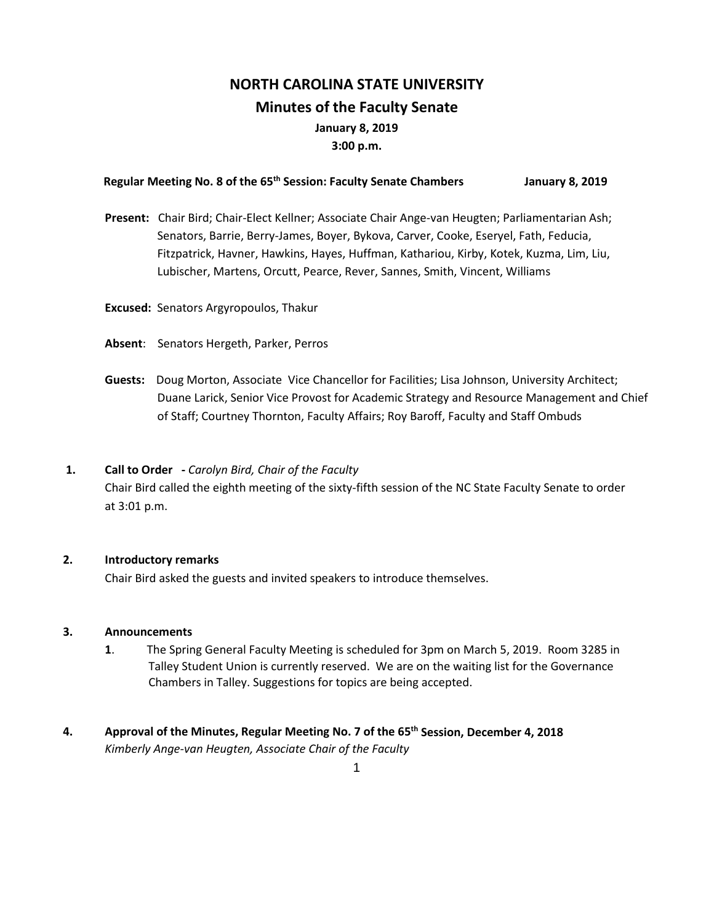# **NORTH CAROLINA STATE UNIVERSITY Minutes of the Faculty Senate January 8, 2019 3:00 p.m.**

# **Regular Meeting No. 8 of the 65th Session: Faculty Senate Chambers January 8, 2019**

**Present:** Chair Bird; Chair-Elect Kellner; Associate Chair Ange-van Heugten; Parliamentarian Ash; Senators, Barrie, Berry-James, Boyer, Bykova, Carver, Cooke, Eseryel, Fath, Feducia, Fitzpatrick, Havner, Hawkins, Hayes, Huffman, Kathariou, Kirby, Kotek, Kuzma, Lim, Liu, Lubischer, Martens, Orcutt, Pearce, Rever, Sannes, Smith, Vincent, Williams

**Excused:** Senators Argyropoulos, Thakur

**Absent**: Senators Hergeth, Parker, Perros

**Guests:** Doug Morton, Associate Vice Chancellor for Facilities; Lisa Johnson, University Architect; Duane Larick, Senior Vice Provost for Academic Strategy and Resource Management and Chief of Staff; Courtney Thornton, Faculty Affairs; Roy Baroff, Faculty and Staff Ombuds

### **1. Call to Order -** *Carolyn Bird, Chair of the Faculty*

Chair Bird called the eighth meeting of the sixty-fifth session of the NC State Faculty Senate to order at 3:01 p.m.

# **2. Introductory remarks**

Chair Bird asked the guests and invited speakers to introduce themselves.

# **3. Announcements**

- **1**. The Spring General Faculty Meeting is scheduled for 3pm on March 5, 2019. Room 3285 in Talley Student Union is currently reserved. We are on the waiting list for the Governance Chambers in Talley. Suggestions for topics are being accepted.
- **4. Approval of the Minutes, Regular Meeting No. 7 of the 65th Session, December 4, 2018**  *Kimberly Ange-van Heugten, Associate Chair of the Faculty*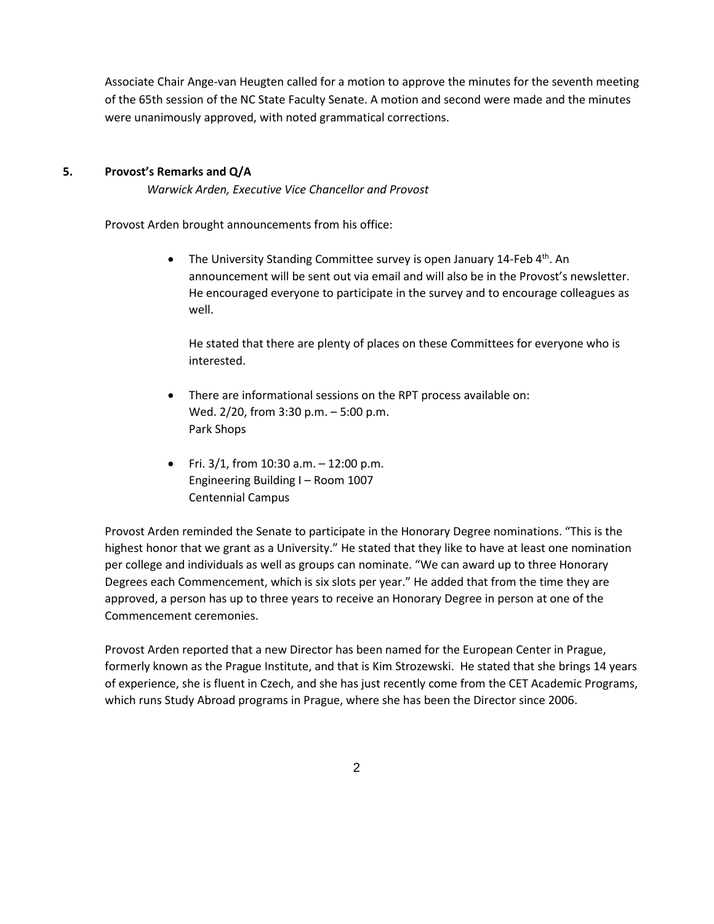Associate Chair Ange-van Heugten called for a motion to approve the minutes for the seventh meeting of the 65th session of the NC State Faculty Senate. A motion and second were made and the minutes were unanimously approved, with noted grammatical corrections.

# **5. Provost's Remarks and Q/A**

*Warwick Arden, Executive Vice Chancellor and Provost* 

Provost Arden brought announcements from his office:

• The University Standing Committee survey is open January 14-Feb  $4<sup>th</sup>$ . An announcement will be sent out via email and will also be in the Provost's newsletter. He encouraged everyone to participate in the survey and to encourage colleagues as well.

He stated that there are plenty of places on these Committees for everyone who is interested.

- There are informational sessions on the RPT process available on: Wed. 2/20, from 3:30 p.m. – 5:00 p.m. Park Shops
- Fri.  $3/1$ , from 10:30 a.m.  $-12:00$  p.m. Engineering Building I – Room 1007 Centennial Campus

Provost Arden reminded the Senate to participate in the Honorary Degree nominations. "This is the highest honor that we grant as a University." He stated that they like to have at least one nomination per college and individuals as well as groups can nominate. "We can award up to three Honorary Degrees each Commencement, which is six slots per year." He added that from the time they are approved, a person has up to three years to receive an Honorary Degree in person at one of the Commencement ceremonies.

Provost Arden reported that a new Director has been named for the European Center in Prague, formerly known as the Prague Institute, and that is Kim Strozewski. He stated that she brings 14 years of experience, she is fluent in Czech, and she has just recently come from the CET Academic Programs, which runs Study Abroad programs in Prague, where she has been the Director since 2006.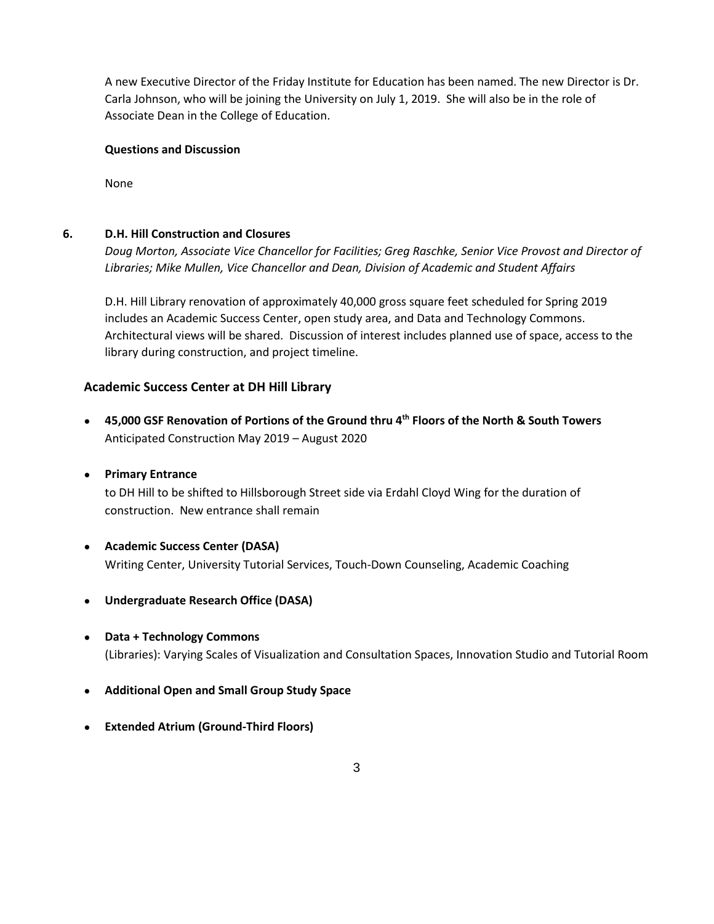A new Executive Director of the Friday Institute for Education has been named. The new Director is Dr. Carla Johnson, who will be joining the University on July 1, 2019. She will also be in the role of Associate Dean in the College of Education.

# **Questions and Discussion**

None

# **6. D.H. Hill Construction and Closures**

*Doug Morton, Associate Vice Chancellor for Facilities; Greg Raschke, Senior Vice Provost and Director of Libraries; Mike Mullen, Vice Chancellor and Dean, Division of Academic and Student Affairs*

D.H. Hill Library renovation of approximately 40,000 gross square feet scheduled for Spring 2019 includes an Academic Success Center, open study area, and Data and Technology Commons. Architectural views will be shared. Discussion of interest includes planned use of space, access to the library during construction, and project timeline.

# **Academic Success Center at DH Hill Library**

- **45,000 GSF Renovation of Portions of the Ground thru 4th Floors of the North & South Towers** Anticipated Construction May 2019 – August 2020
- **Primary Entrance**

to DH Hill to be shifted to Hillsborough Street side via Erdahl Cloyd Wing for the duration of construction. New entrance shall remain

- **Academic Success Center (DASA)** Writing Center, University Tutorial Services, Touch-Down Counseling, Academic Coaching
- **Undergraduate Research Office (DASA)**
- **Data + Technology Commons**  (Libraries): Varying Scales of Visualization and Consultation Spaces, Innovation Studio and Tutorial Room
- **Additional Open and Small Group Study Space**
- **Extended Atrium (Ground-Third Floors)**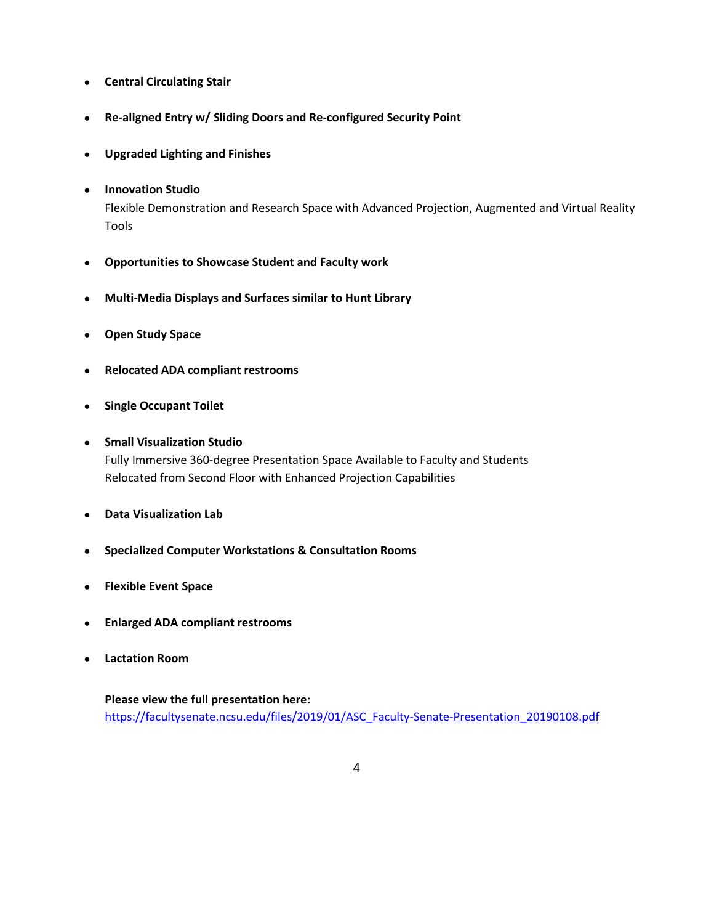- **Central Circulating Stair**
- **Re-aligned Entry w/ Sliding Doors and Re-configured Security Point**
- **Upgraded Lighting and Finishes**
- **Innovation Studio** Flexible Demonstration and Research Space with Advanced Projection, Augmented and Virtual Reality Tools
- **Opportunities to Showcase Student and Faculty work**
- **Multi-Media Displays and Surfaces similar to Hunt Library**
- **Open Study Space**
- **Relocated ADA compliant restrooms**
- **Single Occupant Toilet**
- **Small Visualization Studio** Fully Immersive 360-degree Presentation Space Available to Faculty and Students Relocated from Second Floor with Enhanced Projection Capabilities
- **Data Visualization Lab**
- **Specialized Computer Workstations & Consultation Rooms**
- **Flexible Event Space**
- **Enlarged ADA compliant restrooms**
- **Lactation Room**

**Please view the full presentation here:** [https://facultysenate.ncsu.edu/files/2019/01/ASC\\_Faculty-Senate-Presentation\\_20190108.pdf](https://facultysenate.ncsu.edu/files/2019/01/ASC_Faculty-Senate-Presentation_20190108.pdf)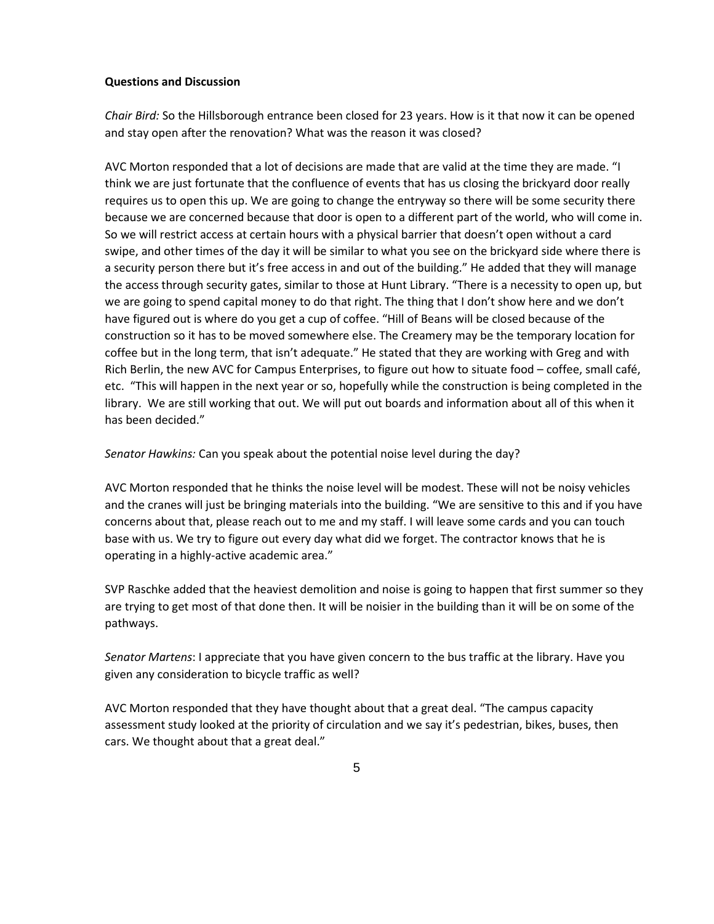#### **Questions and Discussion**

*Chair Bird:* So the Hillsborough entrance been closed for 23 years. How is it that now it can be opened and stay open after the renovation? What was the reason it was closed?

AVC Morton responded that a lot of decisions are made that are valid at the time they are made. "I think we are just fortunate that the confluence of events that has us closing the brickyard door really requires us to open this up. We are going to change the entryway so there will be some security there because we are concerned because that door is open to a different part of the world, who will come in. So we will restrict access at certain hours with a physical barrier that doesn't open without a card swipe, and other times of the day it will be similar to what you see on the brickyard side where there is a security person there but it's free access in and out of the building." He added that they will manage the access through security gates, similar to those at Hunt Library. "There is a necessity to open up, but we are going to spend capital money to do that right. The thing that I don't show here and we don't have figured out is where do you get a cup of coffee. "Hill of Beans will be closed because of the construction so it has to be moved somewhere else. The Creamery may be the temporary location for coffee but in the long term, that isn't adequate." He stated that they are working with Greg and with Rich Berlin, the new AVC for Campus Enterprises, to figure out how to situate food – coffee, small café, etc. "This will happen in the next year or so, hopefully while the construction is being completed in the library. We are still working that out. We will put out boards and information about all of this when it has been decided."

*Senator Hawkins:* Can you speak about the potential noise level during the day?

AVC Morton responded that he thinks the noise level will be modest. These will not be noisy vehicles and the cranes will just be bringing materials into the building. "We are sensitive to this and if you have concerns about that, please reach out to me and my staff. I will leave some cards and you can touch base with us. We try to figure out every day what did we forget. The contractor knows that he is operating in a highly-active academic area."

SVP Raschke added that the heaviest demolition and noise is going to happen that first summer so they are trying to get most of that done then. It will be noisier in the building than it will be on some of the pathways.

*Senator Martens*: I appreciate that you have given concern to the bus traffic at the library. Have you given any consideration to bicycle traffic as well?

AVC Morton responded that they have thought about that a great deal. "The campus capacity assessment study looked at the priority of circulation and we say it's pedestrian, bikes, buses, then cars. We thought about that a great deal."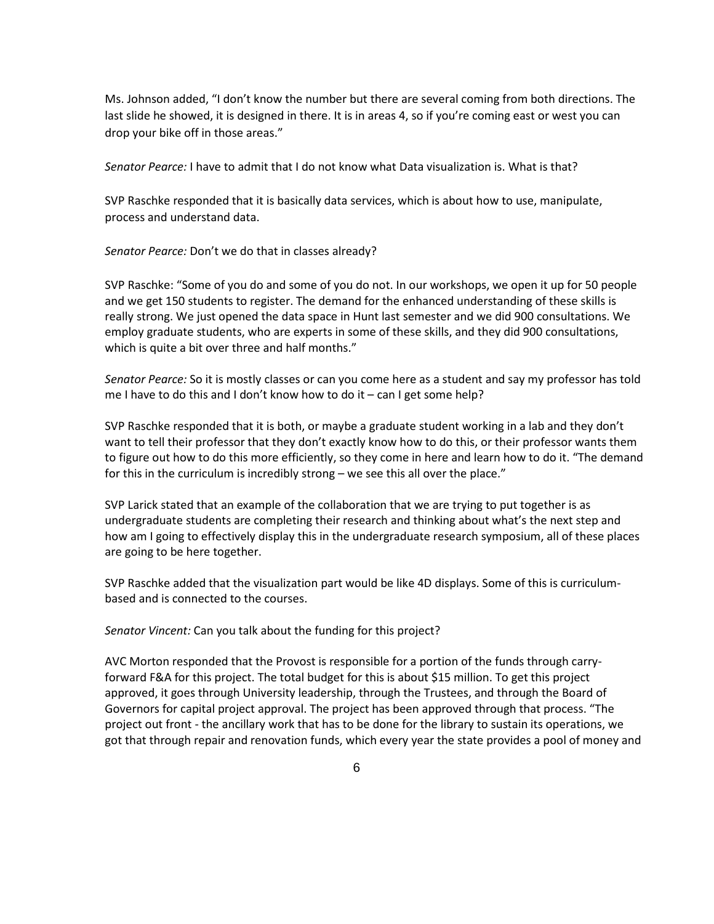Ms. Johnson added, "I don't know the number but there are several coming from both directions. The last slide he showed, it is designed in there. It is in areas 4, so if you're coming east or west you can drop your bike off in those areas."

*Senator Pearce:* I have to admit that I do not know what Data visualization is. What is that?

SVP Raschke responded that it is basically data services, which is about how to use, manipulate, process and understand data.

*Senator Pearce:* Don't we do that in classes already?

SVP Raschke: "Some of you do and some of you do not. In our workshops, we open it up for 50 people and we get 150 students to register. The demand for the enhanced understanding of these skills is really strong. We just opened the data space in Hunt last semester and we did 900 consultations. We employ graduate students, who are experts in some of these skills, and they did 900 consultations, which is quite a bit over three and half months."

*Senator Pearce:* So it is mostly classes or can you come here as a student and say my professor has told me I have to do this and I don't know how to do it – can I get some help?

SVP Raschke responded that it is both, or maybe a graduate student working in a lab and they don't want to tell their professor that they don't exactly know how to do this, or their professor wants them to figure out how to do this more efficiently, so they come in here and learn how to do it. "The demand for this in the curriculum is incredibly strong – we see this all over the place."

SVP Larick stated that an example of the collaboration that we are trying to put together is as undergraduate students are completing their research and thinking about what's the next step and how am I going to effectively display this in the undergraduate research symposium, all of these places are going to be here together.

SVP Raschke added that the visualization part would be like 4D displays. Some of this is curriculumbased and is connected to the courses.

*Senator Vincent:* Can you talk about the funding for this project?

AVC Morton responded that the Provost is responsible for a portion of the funds through carryforward F&A for this project. The total budget for this is about \$15 million. To get this project approved, it goes through University leadership, through the Trustees, and through the Board of Governors for capital project approval. The project has been approved through that process. "The project out front - the ancillary work that has to be done for the library to sustain its operations, we got that through repair and renovation funds, which every year the state provides a pool of money and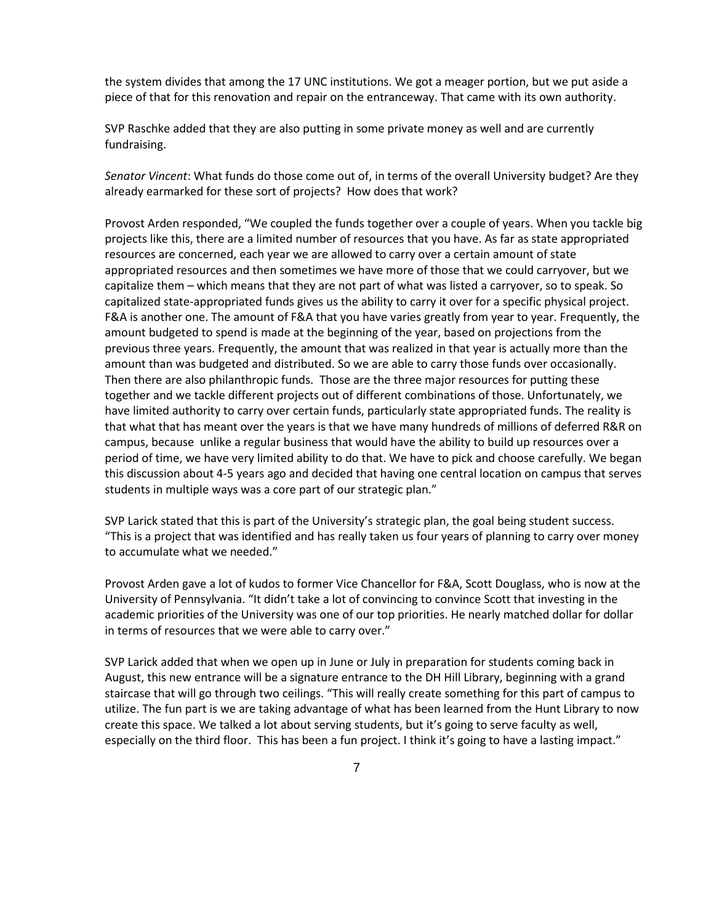the system divides that among the 17 UNC institutions. We got a meager portion, but we put aside a piece of that for this renovation and repair on the entranceway. That came with its own authority.

SVP Raschke added that they are also putting in some private money as well and are currently fundraising.

*Senator Vincent*: What funds do those come out of, in terms of the overall University budget? Are they already earmarked for these sort of projects? How does that work?

Provost Arden responded, "We coupled the funds together over a couple of years. When you tackle big projects like this, there are a limited number of resources that you have. As far as state appropriated resources are concerned, each year we are allowed to carry over a certain amount of state appropriated resources and then sometimes we have more of those that we could carryover, but we capitalize them – which means that they are not part of what was listed a carryover, so to speak. So capitalized state-appropriated funds gives us the ability to carry it over for a specific physical project. F&A is another one. The amount of F&A that you have varies greatly from year to year. Frequently, the amount budgeted to spend is made at the beginning of the year, based on projections from the previous three years. Frequently, the amount that was realized in that year is actually more than the amount than was budgeted and distributed. So we are able to carry those funds over occasionally. Then there are also philanthropic funds. Those are the three major resources for putting these together and we tackle different projects out of different combinations of those. Unfortunately, we have limited authority to carry over certain funds, particularly state appropriated funds. The reality is that what that has meant over the years is that we have many hundreds of millions of deferred R&R on campus, because unlike a regular business that would have the ability to build up resources over a period of time, we have very limited ability to do that. We have to pick and choose carefully. We began this discussion about 4-5 years ago and decided that having one central location on campus that serves students in multiple ways was a core part of our strategic plan."

SVP Larick stated that this is part of the University's strategic plan, the goal being student success. "This is a project that was identified and has really taken us four years of planning to carry over money to accumulate what we needed."

Provost Arden gave a lot of kudos to former Vice Chancellor for F&A, Scott Douglass, who is now at the University of Pennsylvania. "It didn't take a lot of convincing to convince Scott that investing in the academic priorities of the University was one of our top priorities. He nearly matched dollar for dollar in terms of resources that we were able to carry over."

SVP Larick added that when we open up in June or July in preparation for students coming back in August, this new entrance will be a signature entrance to the DH Hill Library, beginning with a grand staircase that will go through two ceilings. "This will really create something for this part of campus to utilize. The fun part is we are taking advantage of what has been learned from the Hunt Library to now create this space. We talked a lot about serving students, but it's going to serve faculty as well, especially on the third floor. This has been a fun project. I think it's going to have a lasting impact."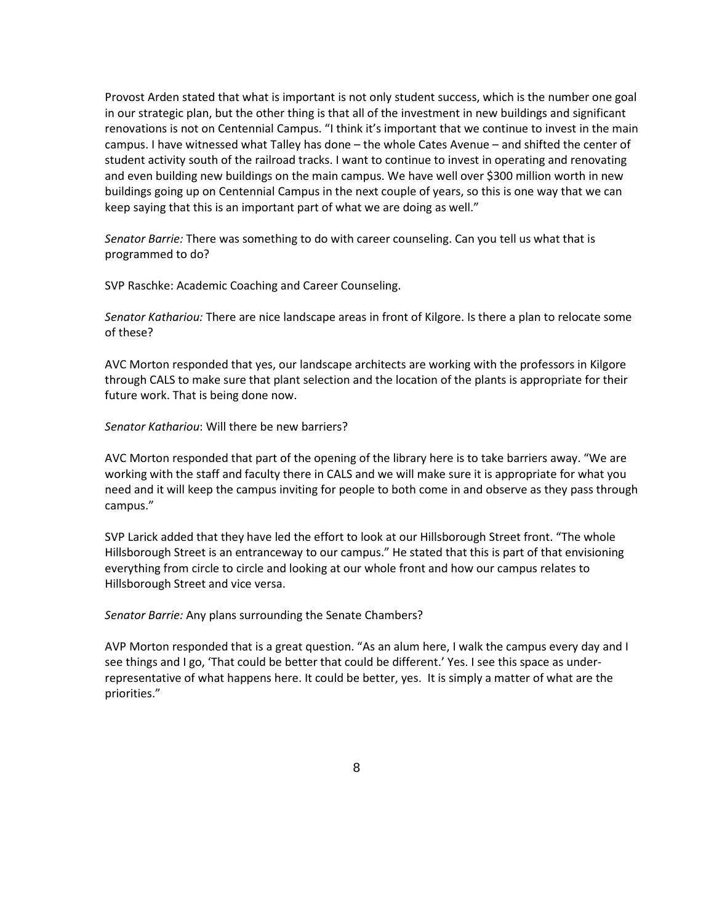Provost Arden stated that what is important is not only student success, which is the number one goal in our strategic plan, but the other thing is that all of the investment in new buildings and significant renovations is not on Centennial Campus. "I think it's important that we continue to invest in the main campus. I have witnessed what Talley has done – the whole Cates Avenue – and shifted the center of student activity south of the railroad tracks. I want to continue to invest in operating and renovating and even building new buildings on the main campus. We have well over \$300 million worth in new buildings going up on Centennial Campus in the next couple of years, so this is one way that we can keep saying that this is an important part of what we are doing as well."

*Senator Barrie:* There was something to do with career counseling. Can you tell us what that is programmed to do?

SVP Raschke: Academic Coaching and Career Counseling.

*Senator Kathariou:* There are nice landscape areas in front of Kilgore. Is there a plan to relocate some of these?

AVC Morton responded that yes, our landscape architects are working with the professors in Kilgore through CALS to make sure that plant selection and the location of the plants is appropriate for their future work. That is being done now.

*Senator Kathariou*: Will there be new barriers?

AVC Morton responded that part of the opening of the library here is to take barriers away. "We are working with the staff and faculty there in CALS and we will make sure it is appropriate for what you need and it will keep the campus inviting for people to both come in and observe as they pass through campus."

SVP Larick added that they have led the effort to look at our Hillsborough Street front. "The whole Hillsborough Street is an entranceway to our campus." He stated that this is part of that envisioning everything from circle to circle and looking at our whole front and how our campus relates to Hillsborough Street and vice versa.

*Senator Barrie:* Any plans surrounding the Senate Chambers?

AVP Morton responded that is a great question. "As an alum here, I walk the campus every day and I see things and I go, 'That could be better that could be different.' Yes. I see this space as underrepresentative of what happens here. It could be better, yes. It is simply a matter of what are the priorities."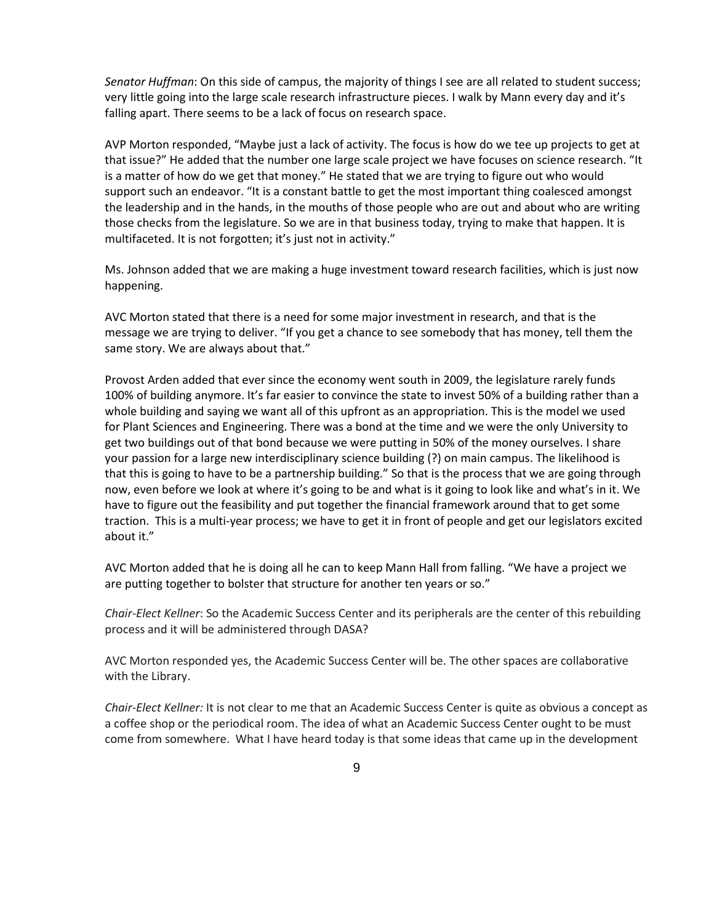*Senator Huffman*: On this side of campus, the majority of things I see are all related to student success; very little going into the large scale research infrastructure pieces. I walk by Mann every day and it's falling apart. There seems to be a lack of focus on research space.

AVP Morton responded, "Maybe just a lack of activity. The focus is how do we tee up projects to get at that issue?" He added that the number one large scale project we have focuses on science research. "It is a matter of how do we get that money." He stated that we are trying to figure out who would support such an endeavor. "It is a constant battle to get the most important thing coalesced amongst the leadership and in the hands, in the mouths of those people who are out and about who are writing those checks from the legislature. So we are in that business today, trying to make that happen. It is multifaceted. It is not forgotten; it's just not in activity."

Ms. Johnson added that we are making a huge investment toward research facilities, which is just now happening.

AVC Morton stated that there is a need for some major investment in research, and that is the message we are trying to deliver. "If you get a chance to see somebody that has money, tell them the same story. We are always about that."

Provost Arden added that ever since the economy went south in 2009, the legislature rarely funds 100% of building anymore. It's far easier to convince the state to invest 50% of a building rather than a whole building and saying we want all of this upfront as an appropriation. This is the model we used for Plant Sciences and Engineering. There was a bond at the time and we were the only University to get two buildings out of that bond because we were putting in 50% of the money ourselves. I share your passion for a large new interdisciplinary science building (?) on main campus. The likelihood is that this is going to have to be a partnership building." So that is the process that we are going through now, even before we look at where it's going to be and what is it going to look like and what's in it. We have to figure out the feasibility and put together the financial framework around that to get some traction. This is a multi-year process; we have to get it in front of people and get our legislators excited about it."

AVC Morton added that he is doing all he can to keep Mann Hall from falling. "We have a project we are putting together to bolster that structure for another ten years or so."

*Chair-Elect Kellner*: So the Academic Success Center and its peripherals are the center of this rebuilding process and it will be administered through DASA?

AVC Morton responded yes, the Academic Success Center will be. The other spaces are collaborative with the Library.

*Chair-Elect Kellner:* It is not clear to me that an Academic Success Center is quite as obvious a concept as a coffee shop or the periodical room. The idea of what an Academic Success Center ought to be must come from somewhere. What I have heard today is that some ideas that came up in the development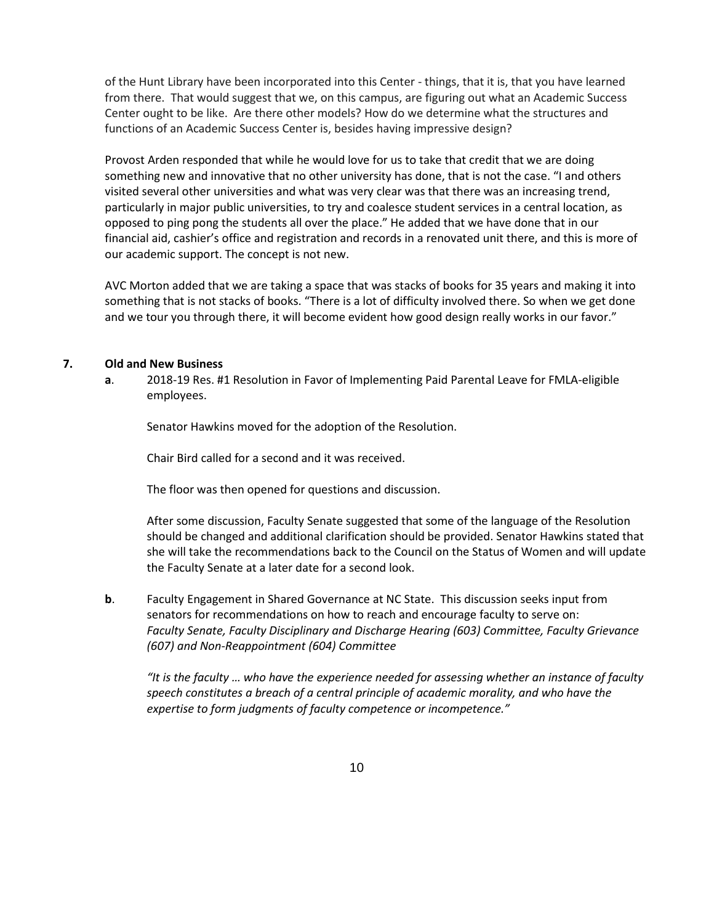of the Hunt Library have been incorporated into this Center - things, that it is, that you have learned from there. That would suggest that we, on this campus, are figuring out what an Academic Success Center ought to be like. Are there other models? How do we determine what the structures and functions of an Academic Success Center is, besides having impressive design?

Provost Arden responded that while he would love for us to take that credit that we are doing something new and innovative that no other university has done, that is not the case. "I and others visited several other universities and what was very clear was that there was an increasing trend, particularly in major public universities, to try and coalesce student services in a central location, as opposed to ping pong the students all over the place." He added that we have done that in our financial aid, cashier's office and registration and records in a renovated unit there, and this is more of our academic support. The concept is not new.

AVC Morton added that we are taking a space that was stacks of books for 35 years and making it into something that is not stacks of books. "There is a lot of difficulty involved there. So when we get done and we tour you through there, it will become evident how good design really works in our favor."

### **7. Old and New Business**

**a**. 2018-19 Res. #1 Resolution in Favor of Implementing Paid Parental Leave for FMLA-eligible employees.

Senator Hawkins moved for the adoption of the Resolution.

Chair Bird called for a second and it was received.

The floor was then opened for questions and discussion.

After some discussion, Faculty Senate suggested that some of the language of the Resolution should be changed and additional clarification should be provided. Senator Hawkins stated that she will take the recommendations back to the Council on the Status of Women and will update the Faculty Senate at a later date for a second look.

**b**. Faculty Engagement in Shared Governance at NC State. This discussion seeks input from senators for recommendations on how to reach and encourage faculty to serve on: *Faculty Senate, Faculty Disciplinary and Discharge Hearing (603) Committee, Faculty Grievance (607) and Non-Reappointment (604) Committee*

*"It is the faculty … who have the experience needed for assessing whether an instance of faculty speech constitutes a breach of a central principle of academic morality, and who have the expertise to form judgments of faculty competence or incompetence."*